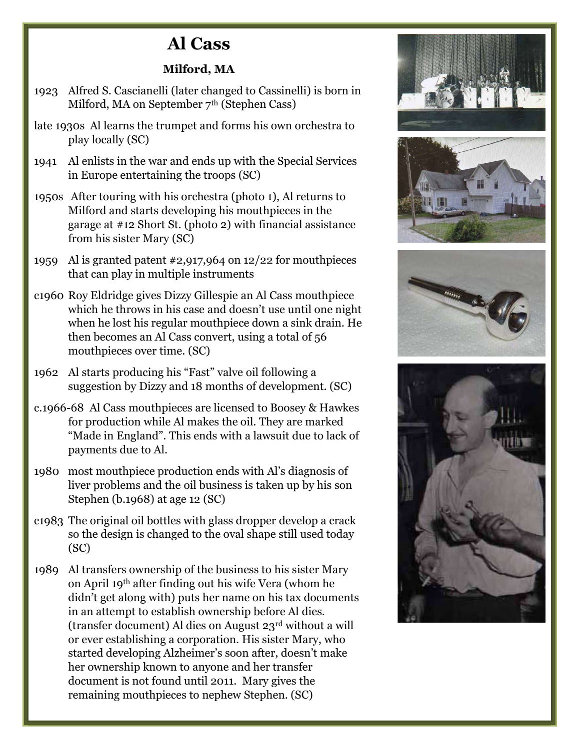## Al Cass

## Milford, MA

- 1923 Alfred S. Cascianelli (later changed to Cassinelli) is born in Milford, MA on September 7<sup>th</sup> (Stephen Cass)
- late 1930s Al learns the trumpet and forms his own orchestra to play locally (SC)
- 1941 Al enlists in the war and ends up with the Special Services in Europe entertaining the troops (SC)
- 1950s After touring with his orchestra (photo 1), Al returns to Milford and starts developing his mouthpieces in the garage at #12 Short St. (photo 2) with financial assistance from his sister Mary (SC)
- 1959 Al is granted patent #2,917,964 on 12/22 for mouthpieces that can play in multiple instruments
- c1960 Roy Eldridge gives Dizzy Gillespie an Al Cass mouthpiece which he throws in his case and doesn't use until one night when he lost his regular mouthpiece down a sink drain. He then becomes an Al Cass convert, using a total of 56 mouthpieces over time. (SC)
- 1962 Al starts producing his "Fast" valve oil following a suggestion by Dizzy and 18 months of development. (SC)
- c.1966-68 Al Cass mouthpieces are licensed to Boosey & Hawkes for production while Al makes the oil. They are marked "Made in England". This ends with a lawsuit due to lack of payments due to Al.
- 1980 most mouthpiece production ends with Al's diagnosis of liver problems and the oil business is taken up by his son Stephen (b.1968) at age 12 (SC)
- c1983 The original oil bottles with glass dropper develop a crack so the design is changed to the oval shape still used today (SC)
- 1989 Al transfers ownership of the business to his sister Mary on April 19th after finding out his wife Vera (whom he didn't get along with) puts her name on his tax documents in an attempt to establish ownership before Al dies. (transfer document) Al dies on August 23rd without a will or ever establishing a corporation. His sister Mary, who started developing Alzheimer's soon after, doesn't make her ownership known to anyone and her transfer document is not found until 2011. Mary gives the remaining mouthpieces to nephew Stephen. (SC)